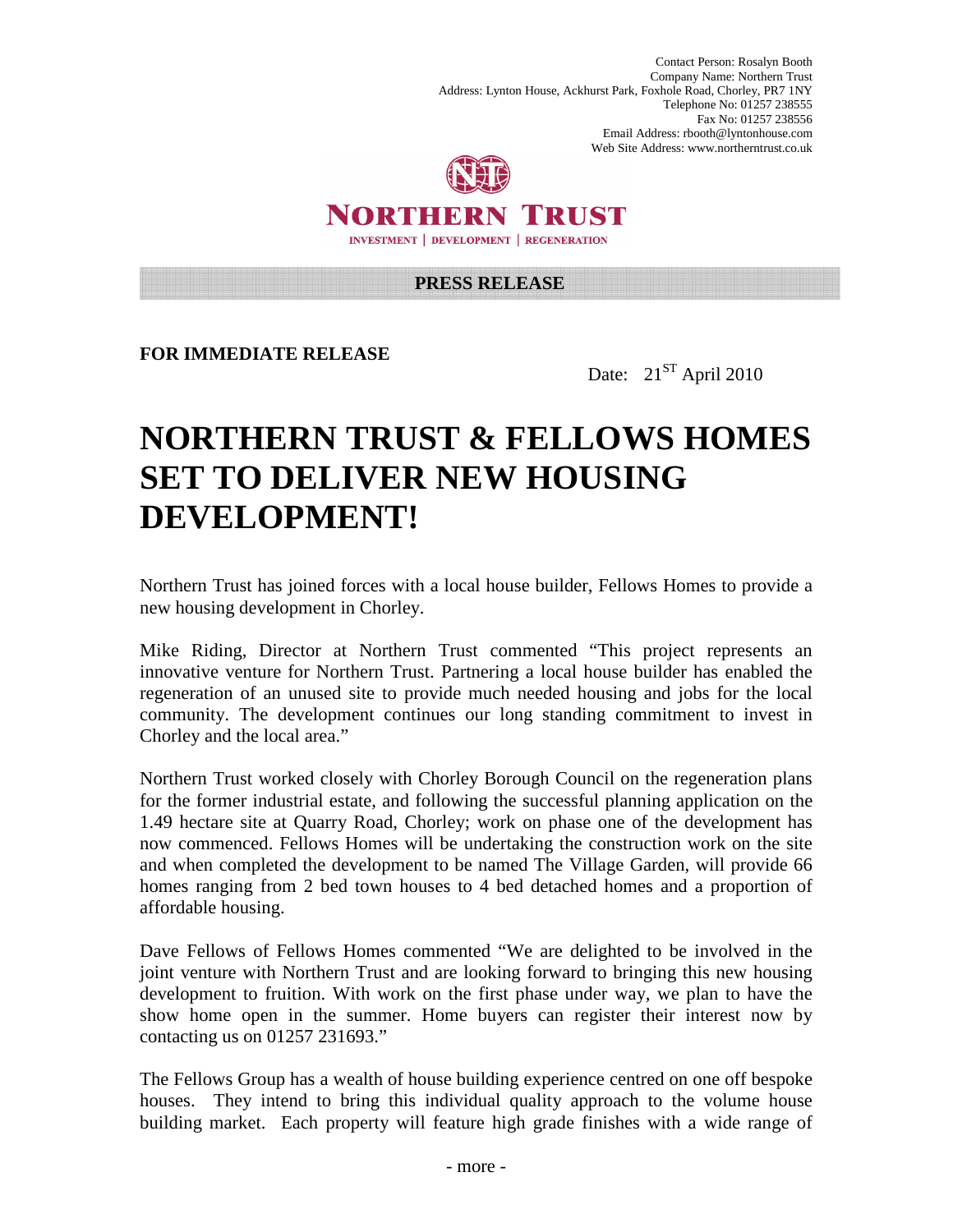Contact Person: Rosalyn Booth Company Name: Northern Trust Address: Lynton House, Ackhurst Park, Foxhole Road, Chorley, PR7 1NY Telephone No: 01257 238555 Fax No: 01257 238556 Email Address: rbooth@lyntonhouse.com Web Site Address: www.northerntrust.co.uk



NORTHERN TRUST **INVESTMENT | DEVELOPMENT | REGENERATION** 

## **PRESS RELEASE**

**FOR IMMEDIATE RELEASE** 

Date:  $21^{ST}$  April 2010

## **NORTHERN TRUST & FELLOWS HOMES SET TO DELIVER NEW HOUSING DEVELOPMENT!**

Northern Trust has joined forces with a local house builder, Fellows Homes to provide a new housing development in Chorley.

Mike Riding, Director at Northern Trust commented "This project represents an innovative venture for Northern Trust. Partnering a local house builder has enabled the regeneration of an unused site to provide much needed housing and jobs for the local community. The development continues our long standing commitment to invest in Chorley and the local area."

Northern Trust worked closely with Chorley Borough Council on the regeneration plans for the former industrial estate, and following the successful planning application on the 1.49 hectare site at Quarry Road, Chorley; work on phase one of the development has now commenced. Fellows Homes will be undertaking the construction work on the site and when completed the development to be named The Village Garden, will provide 66 homes ranging from 2 bed town houses to 4 bed detached homes and a proportion of affordable housing.

Dave Fellows of Fellows Homes commented "We are delighted to be involved in the joint venture with Northern Trust and are looking forward to bringing this new housing development to fruition. With work on the first phase under way, we plan to have the show home open in the summer. Home buyers can register their interest now by contacting us on 01257 231693."

The Fellows Group has a wealth of house building experience centred on one off bespoke houses. They intend to bring this individual quality approach to the volume house building market. Each property will feature high grade finishes with a wide range of